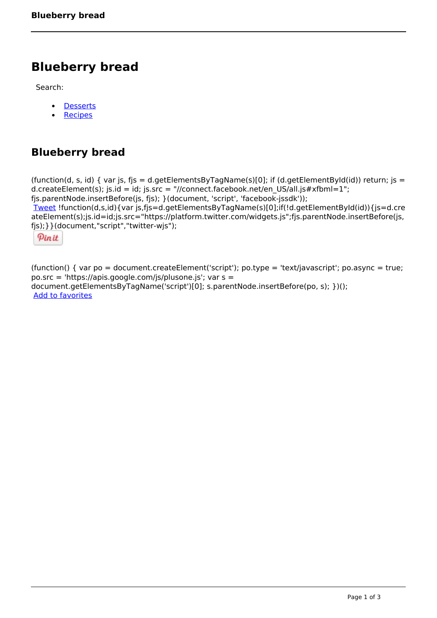## **Blueberry bread**

Search:

- **[Desserts](https://www.naturalhealthmag.com.au/nourish/desserts)**  $\bullet$
- **[Recipes](https://www.naturalhealthmag.com.au/nourish/recipes)**

## **Blueberry bread**

(function(d, s, id) { var js, fjs = d.getElementsByTagName(s)[0]; if (d.getElementById(id)) return; js = d.createElement(s); js.id = id; js.src = "//connect.facebook.net/en\_US/all.js#xfbml=1"; fjs.parentNode.insertBefore(js, fjs); }(document, 'script', 'facebook-jssdk')); [Tweet](https://twitter.com/share) !function(d,s,id){var js,fjs=d.getElementsByTagName(s)[0];if(!d.getElementById(id)){js=d.cre ateElement(s);js.id=id;js.src="https://platform.twitter.com/widgets.js";fjs.parentNode.insertBefore(js, fjs);}}(document,"script","twitter-wjs");

Pinit

(function() { var po = document.createElement('script'); po.type = 'text/javascript'; po.async = true; po.src = 'https://apis.google.com/js/plusone.js'; var s = document.getElementsByTagName('script')[0]; s.parentNode.insertBefore(po, s); })(); Add to favorites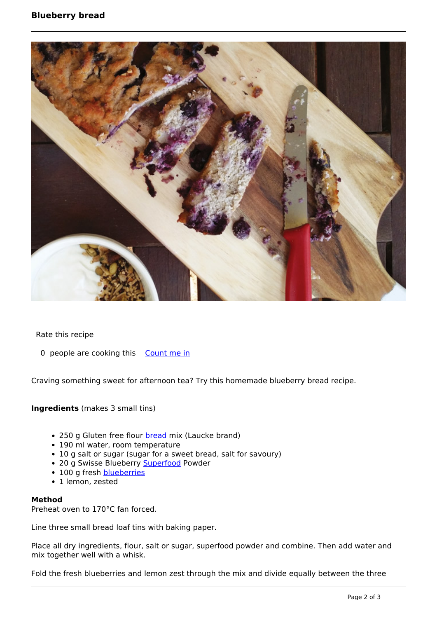## **Blueberry bread**



Rate this recipe

0 people are cooking this [Count me in](https://www.naturalhealthmag.com.au/flag/flag/favorites/1436?destination=printpdf%2F1436&token=01b90ae8ee13c8671fe9855f073e9a51)

Craving something sweet for afternoon tea? Try this homemade blueberry bread recipe.

**Ingredients** (makes 3 small tins)

- 250 g Gluten free flour **bread** mix (Laucke brand)
- 190 ml water, room temperature
- 10 g salt or sugar (sugar for a sweet bread, salt for savoury)
- 20 g Swisse Blueberry [Superfood](http://www.naturalhealthmag.com.au/nourish/acai-berry-breakfast-champions) Powder
- 100 g fresh **[blueberries](http://www.naturalhealthmag.com.au/nourish/blueberry-tart-walnut-crust)**
- 1 lemon, zested

## **Method**

Preheat oven to 170°C fan forced.

Line three small bread loaf tins with baking paper.

Place all dry ingredients, flour, salt or sugar, superfood powder and combine. Then add water and mix together well with a whisk.

Fold the fresh blueberries and lemon zest through the mix and divide equally between the three